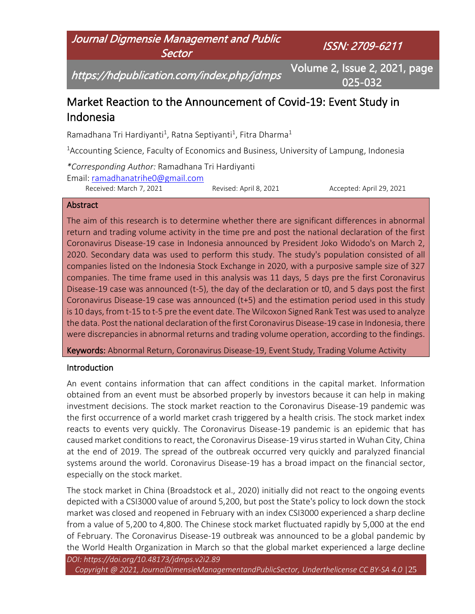

# Market Reaction to the Announcement of Covid-19: Event Study in Indonesia

Ramadhana Tri Hardiyanti<sup>1</sup>, Ratna Septiyanti<sup>1</sup>, Fitra Dharma<sup>1</sup>

<sup>1</sup>Accounting Science, Faculty of Economics and Business, University of Lampung, Indonesia

*\*Corresponding Author:* Ramadhana Tri Hardiyanti

Email: [ramadhanatrihe0@gmail.com](mailto:ramadhanatrihe0@gmail.com)

Received: March 7, 2021 Revised: April 8, 2021 Accepted: April 29, 2021

#### **Abstract**

The aim of this research is to determine whether there are significant differences in abnormal return and trading volume activity in the time pre and post the national declaration of the first Coronavirus Disease-19 case in Indonesia announced by President Joko Widodo's on March 2, 2020. Secondary data was used to perform this study. The study's population consisted of all companies listed on the Indonesia Stock Exchange in 2020, with a purposive sample size of 327 companies. The time frame used in this analysis was 11 days, 5 days pre the first Coronavirus Disease-19 case was announced (t-5), the day of the declaration or t0, and 5 days post the first Coronavirus Disease-19 case was announced (t+5) and the estimation period used in this study is 10 days, from t-15 to t-5 pre the event date. The Wilcoxon Signed Rank Test was used to analyze the data. Post the national declaration of the first Coronavirus Disease-19 case in Indonesia, there were discrepancies in abnormal returns and trading volume operation, according to the findings.

Keywords: Abnormal Return, Coronavirus Disease-19, Event Study, Trading Volume Activity

## **Introduction**

An event contains information that can affect conditions in the capital market. Information obtained from an event must be absorbed properly by investors because it can help in making investment decisions. The stock market reaction to the Coronavirus Disease-19 pandemic was the first occurrence of a world market crash triggered by a health crisis. The stock market index reacts to events very quickly. The Coronavirus Disease-19 pandemic is an epidemic that has caused market conditions to react, the Coronavirus Disease-19 virus started in Wuhan City, China at the end of 2019. The spread of the outbreak occurred very quickly and paralyzed financial systems around the world. Coronavirus Disease-19 has a broad impact on the financial sector, especially on the stock market.

The stock market in China (Broadstock et al., 2020) initially did not react to the ongoing events depicted with a CSI3000 value of around 5,200, but post the State's policy to lock down the stock market was closed and reopened in February with an index CSI3000 experienced a sharp decline from a value of 5,200 to 4,800. The Chinese stock market fluctuated rapidly by 5,000 at the end of February. The Coronavirus Disease-19 outbreak was announced to be a global pandemic by the World Health Organization in March so that the global market experienced a large decline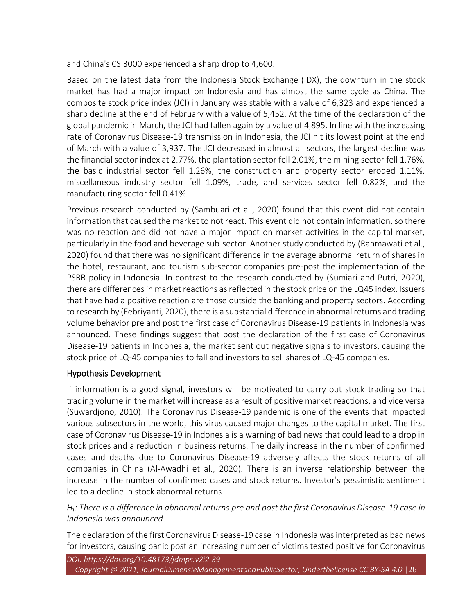and China's CSI3000 experienced a sharp drop to 4,600.

Based on the latest data from the Indonesia Stock Exchange (IDX), the downturn in the stock market has had a major impact on Indonesia and has almost the same cycle as China. The composite stock price index (JCI) in January was stable with a value of 6,323 and experienced a sharp decline at the end of February with a value of 5,452. At the time of the declaration of the global pandemic in March, the JCI had fallen again by a value of 4,895. In line with the increasing rate of Coronavirus Disease-19 transmission in Indonesia, the JCI hit its lowest point at the end of March with a value of 3,937. The JCI decreased in almost all sectors, the largest decline was the financial sector index at 2.77%, the plantation sector fell 2.01%, the mining sector fell 1.76%, the basic industrial sector fell 1.26%, the construction and property sector eroded 1.11%, miscellaneous industry sector fell 1.09%, trade, and services sector fell 0.82%, and the manufacturing sector fell 0.41%.

Previous research conducted by (Sambuari et al., 2020) found that this event did not contain information that caused the market to not react. This event did not contain information, so there was no reaction and did not have a major impact on market activities in the capital market, particularly in the food and beverage sub-sector. Another study conducted by (Rahmawati et al., 2020) found that there was no significant difference in the average abnormal return of shares in the hotel, restaurant, and tourism sub-sector companies pre-post the implementation of the PSBB policy in Indonesia. In contrast to the research conducted by (Sumiari and Putri, 2020), there are differences in market reactions as reflected in the stock price on the LQ45 index. Issuers that have had a positive reaction are those outside the banking and property sectors. According to research by (Febriyanti, 2020), there is a substantial difference in abnormal returns and trading volume behavior pre and post the first case of Coronavirus Disease-19 patients in Indonesia was announced. These findings suggest that post the declaration of the first case of Coronavirus Disease-19 patients in Indonesia, the market sent out negative signals to investors, causing the stock price of LQ-45 companies to fall and investors to sell shares of LQ-45 companies.

## Hypothesis Development

If information is a good signal, investors will be motivated to carry out stock trading so that trading volume in the market will increase as a result of positive market reactions, and vice versa (Suwardjono, 2010). The Coronavirus Disease-19 pandemic is one of the events that impacted various subsectors in the world, this virus caused major changes to the capital market. The first case of Coronavirus Disease-19 in Indonesia is a warning of bad news that could lead to a drop in stock prices and a reduction in business returns. The daily increase in the number of confirmed cases and deaths due to Coronavirus Disease-19 adversely affects the stock returns of all companies in China (Al-Awadhi et al., 2020). There is an inverse relationship between the increase in the number of confirmed cases and stock returns. Investor's pessimistic sentiment led to a decline in stock abnormal returns.

*H₁: There is a difference in abnormal returns pre and post the first Coronavirus Disease-19 case in Indonesia was announced*.

The declaration of the first Coronavirus Disease-19 case in Indonesia was interpreted as bad news for investors, causing panic post an increasing number of victims tested positive for Coronavirus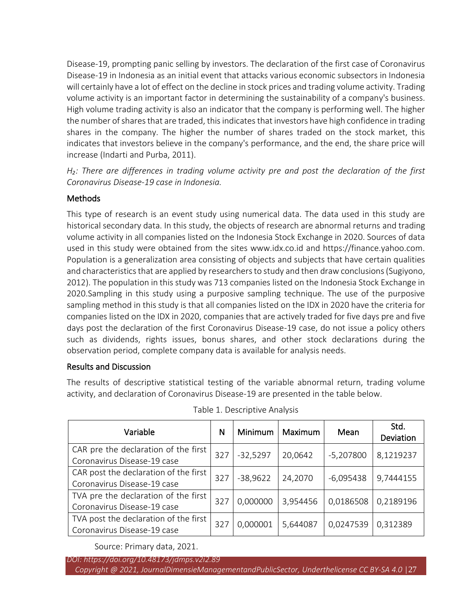Disease-19, prompting panic selling by investors. The declaration of the first case of Coronavirus Disease-19 in Indonesia as an initial event that attacks various economic subsectors in Indonesia will certainly have a lot of effect on the decline in stock prices and trading volume activity. Trading volume activity is an important factor in determining the sustainability of a company's business. High volume trading activity is also an indicator that the company is performing well. The higher the number of shares that are traded, this indicates that investors have high confidence in trading shares in the company. The higher the number of shares traded on the stock market, this indicates that investors believe in the company's performance, and the end, the share price will increase (Indarti and Purba, 2011).

*H₂: There are differences in trading volume activity pre and post the declaration of the first Coronavirus Disease-19 case in Indonesia.*

# Methods

This type of research is an event study using numerical data. The data used in this study are historical secondary data. In this study, the objects of research are abnormal returns and trading volume activity in all companies listed on the Indonesia Stock Exchange in 2020. Sources of data used in this study were obtained from the sites www.idx.co.id and https://finance.yahoo.com. Population is a generalization area consisting of objects and subjects that have certain qualities and characteristics that are applied by researchers to study and then draw conclusions (Sugiyono, 2012). The population in this study was 713 companies listed on the Indonesia Stock Exchange in 2020.Sampling in this study using a purposive sampling technique. The use of the purposive sampling method in this study is that all companies listed on the IDX in 2020 have the criteria for companies listed on the IDX in 2020, companies that are actively traded for five days pre and five days post the declaration of the first Coronavirus Disease-19 case, do not issue a policy others such as dividends, rights issues, bonus shares, and other stock declarations during the observation period, complete company data is available for analysis needs.

## Results and Discussion

The results of descriptive statistical testing of the variable abnormal return, trading volume activity, and declaration of Coronavirus Disease-19 are presented in the table below.

| Variable                              | N   | <b>Minimum</b> | Maximum  | Mean        | Std.<br>Deviation |
|---------------------------------------|-----|----------------|----------|-------------|-------------------|
| CAR pre the declaration of the first  | 327 | $-32,5297$     | 20,0642  | $-5,207800$ | 8,1219237         |
| Coronavirus Disease-19 case           |     |                |          |             |                   |
| CAR post the declaration of the first | 327 | $-38,9622$     | 24,2070  | $-6,095438$ | 9,7444155         |
| Coronavirus Disease-19 case           |     |                |          |             |                   |
| TVA pre the declaration of the first  | 327 | 0,000000       | 3,954456 | 0,0186508   | 0,2189196         |
| Coronavirus Disease-19 case           |     |                |          |             |                   |
| TVA post the declaration of the first | 327 | 0,000001       | 5,644087 | 0,0247539   | 0,312389          |
| Coronavirus Disease-19 case           |     |                |          |             |                   |

Table 1. Descriptive Analysis

Source: Primary data, 2021.

*DOI: https://doi.org/10.48173/jdmps.v2i2.89 Copyright @ 2021, JournalDimensieManagementandPublicSector, Underthelicense CC BY-SA 4.0* |27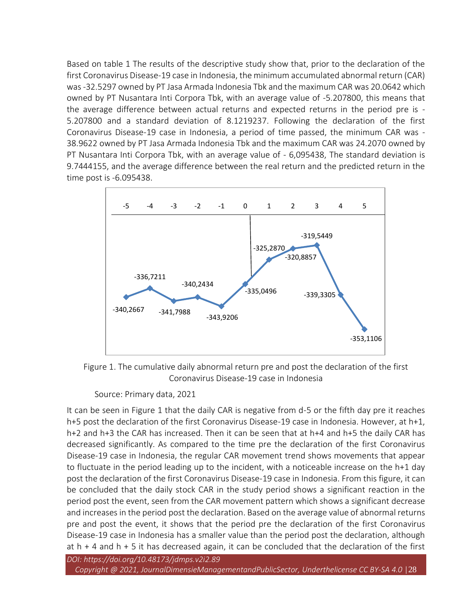Based on table 1 The results of the descriptive study show that, prior to the declaration of the first Coronavirus Disease-19 case in Indonesia, the minimum accumulated abnormal return (CAR) was -32.5297 owned by PT Jasa Armada Indonesia Tbk and the maximum CAR was 20.0642 which owned by PT Nusantara Inti Corpora Tbk, with an average value of -5.207800, this means that the average difference between actual returns and expected returns in the period pre is - 5.207800 and a standard deviation of 8.1219237. Following the declaration of the first Coronavirus Disease-19 case in Indonesia, a period of time passed, the minimum CAR was - 38.9622 owned by PT Jasa Armada Indonesia Tbk and the maximum CAR was 24.2070 owned by PT Nusantara Inti Corpora Tbk, with an average value of - 6,095438, The standard deviation is 9.7444155, and the average difference between the real return and the predicted return in the time post is -6.095438.



Figure 1. The cumulative daily abnormal return pre and post the declaration of the first Coronavirus Disease-19 case in Indonesia

Source: Primary data, 2021

It can be seen in Figure 1 that the daily CAR is negative from d-5 or the fifth day pre it reaches h+5 post the declaration of the first Coronavirus Disease-19 case in Indonesia. However, at h+1, h+2 and h+3 the CAR has increased. Then it can be seen that at h+4 and h+5 the daily CAR has decreased significantly. As compared to the time pre the declaration of the first Coronavirus Disease-19 case in Indonesia, the regular CAR movement trend shows movements that appear to fluctuate in the period leading up to the incident, with a noticeable increase on the h+1 day post the declaration of the first Coronavirus Disease-19 case in Indonesia. From this figure, it can be concluded that the daily stock CAR in the study period shows a significant reaction in the period post the event, seen from the CAR movement pattern which shows a significant decrease and increases in the period post the declaration. Based on the average value of abnormal returns pre and post the event, it shows that the period pre the declaration of the first Coronavirus Disease-19 case in Indonesia has a smaller value than the period post the declaration, although at  $h + 4$  and  $h + 5$  it has decreased again, it can be concluded that the declaration of the first

*DOI: https://doi.org/10.48173/jdmps.v2i2.89 Copyright @ 2021, JournalDimensieManagementandPublicSector, Underthelicense CC BY-SA 4.0* |28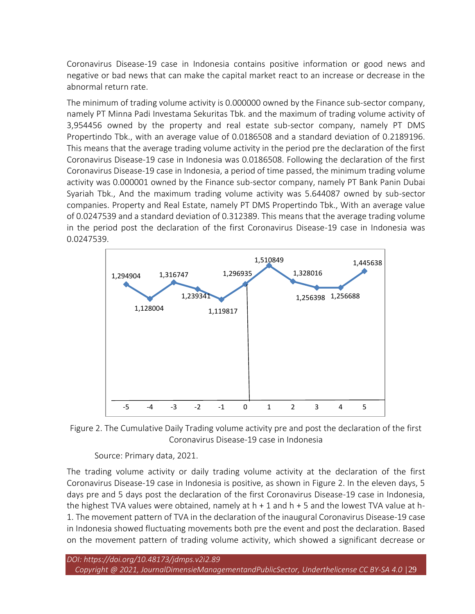Coronavirus Disease-19 case in Indonesia contains positive information or good news and negative or bad news that can make the capital market react to an increase or decrease in the abnormal return rate.

The minimum of trading volume activity is 0.000000 owned by the Finance sub-sector company, namely PT Minna Padi Investama Sekuritas Tbk. and the maximum of trading volume activity of 3,954456 owned by the property and real estate sub-sector company, namely PT DMS Propertindo Tbk., with an average value of 0.0186508 and a standard deviation of 0.2189196. This means that the average trading volume activity in the period pre the declaration of the first Coronavirus Disease-19 case in Indonesia was 0.0186508. Following the declaration of the first Coronavirus Disease-19 case in Indonesia, a period of time passed, the minimum trading volume activity was 0.000001 owned by the Finance sub-sector company, namely PT Bank Panin Dubai Syariah Tbk., And the maximum trading volume activity was 5.644087 owned by sub-sector companies. Property and Real Estate, namely PT DMS Propertindo Tbk., With an average value of 0.0247539 and a standard deviation of 0.312389. This means that the average trading volume in the period post the declaration of the first Coronavirus Disease-19 case in Indonesia was 0.0247539.



Figure 2. The Cumulative Daily Trading volume activity pre and post the declaration of the first Coronavirus Disease-19 case in Indonesia

Source: Primary data, 2021.

The trading volume activity or daily trading volume activity at the declaration of the first Coronavirus Disease-19 case in Indonesia is positive, as shown in Figure 2. In the eleven days, 5 days pre and 5 days post the declaration of the first Coronavirus Disease-19 case in Indonesia, the highest TVA values were obtained, namely at h + 1 and h + 5 and the lowest TVA value at h-1. The movement pattern of TVA in the declaration of the inaugural Coronavirus Disease-19 case in Indonesia showed fluctuating movements both pre the event and post the declaration. Based on the movement pattern of trading volume activity, which showed a significant decrease or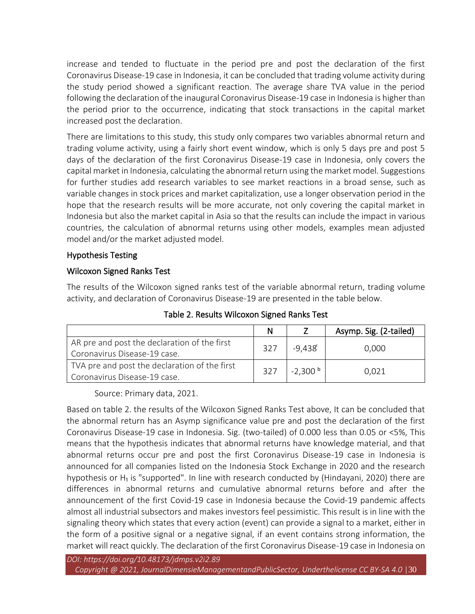increase and tended to fluctuate in the period pre and post the declaration of the first Coronavirus Disease-19 case in Indonesia, it can be concluded that trading volume activity during the study period showed a significant reaction. The average share TVA value in the period following the declaration of the inaugural Coronavirus Disease-19 case in Indonesia is higher than the period prior to the occurrence, indicating that stock transactions in the capital market increased post the declaration.

There are limitations to this study, this study only compares two variables abnormal return and trading volume activity, using a fairly short event window, which is only 5 days pre and post 5 days of the declaration of the first Coronavirus Disease-19 case in Indonesia, only covers the capital market in Indonesia, calculating the abnormal return using the market model. Suggestions for further studies add research variables to see market reactions in a broad sense, such as variable changes in stock prices and market capitalization, use a longer observation period in the hope that the research results will be more accurate, not only covering the capital market in Indonesia but also the market capital in Asia so that the results can include the impact in various countries, the calculation of abnormal returns using other models, examples mean adjusted model and/or the market adjusted model.

#### Hypothesis Testing

#### Wilcoxon Signed Ranks Test

The results of the Wilcoxon signed ranks test of the variable abnormal return, trading volume activity, and declaration of Coronavirus Disease-19 are presented in the table below.

|                                               | N   |                   | Asymp. Sig. (2-tailed) |  |
|-----------------------------------------------|-----|-------------------|------------------------|--|
| AR pre and post the declaration of the first  | 327 | -9.438 $^{\circ}$ | 0.000                  |  |
| Coronavirus Disease-19 case.                  |     |                   |                        |  |
| TVA pre and post the declaration of the first | 327 | $-2,300b$         | 0,021                  |  |
| Coronavirus Disease-19 case.                  |     |                   |                        |  |

Table 2. Results Wilcoxon Signed Ranks Test

Source: Primary data, 2021.

Based on table 2. the results of the Wilcoxon Signed Ranks Test above, It can be concluded that the abnormal return has an Asymp significance value pre and post the declaration of the first Coronavirus Disease-19 case in Indonesia. Sig. (two-tailed) of 0.000 less than 0.05 or <5%, This means that the hypothesis indicates that abnormal returns have knowledge material, and that abnormal returns occur pre and post the first Coronavirus Disease-19 case in Indonesia is announced for all companies listed on the Indonesia Stock Exchange in 2020 and the research hypothesis or  $H_1$  is "supported". In line with research conducted by (Hindayani, 2020) there are differences in abnormal returns and cumulative abnormal returns before and after the announcement of the first Covid-19 case in Indonesia because the Covid-19 pandemic affects almost all industrial subsectors and makes investors feel pessimistic. This result is in line with the signaling theory which states that every action (event) can provide a signal to a market, either in the form of a positive signal or a negative signal, if an event contains strong information, the market will react quickly. The declaration of the first Coronavirus Disease-19 case in Indonesia on

*DOI: https://doi.org/10.48173/jdmps.v2i2.89*

*Copyright @ 2021, JournalDimensieManagementandPublicSector, Underthelicense CC BY-SA 4.0* |30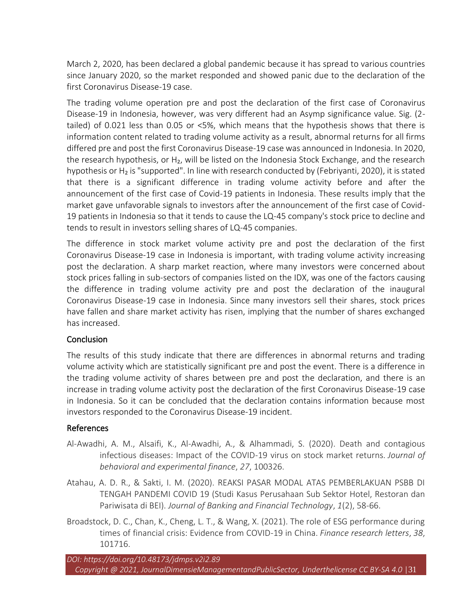March 2, 2020, has been declared a global pandemic because it has spread to various countries since January 2020, so the market responded and showed panic due to the declaration of the first Coronavirus Disease-19 case.

The trading volume operation pre and post the declaration of the first case of Coronavirus Disease-19 in Indonesia, however, was very different had an Asymp significance value. Sig. (2 tailed) of 0.021 less than 0.05 or <5%, which means that the hypothesis shows that there is information content related to trading volume activity as a result, abnormal returns for all firms differed pre and post the first Coronavirus Disease-19 case was announced in Indonesia. In 2020, the research hypothesis, or H<sub>2</sub>, will be listed on the Indonesia Stock Exchange, and the research hypothesis or H<sub>2</sub> is "supported". In line with research conducted by (Febriyanti, 2020), it is stated that there is a significant difference in trading volume activity before and after the announcement of the first case of Covid-19 patients in Indonesia. These results imply that the market gave unfavorable signals to investors after the announcement of the first case of Covid-19 patients in Indonesia so that it tends to cause the LQ-45 company's stock price to decline and tends to result in investors selling shares of LQ-45 companies.

The difference in stock market volume activity pre and post the declaration of the first Coronavirus Disease-19 case in Indonesia is important, with trading volume activity increasing post the declaration. A sharp market reaction, where many investors were concerned about stock prices falling in sub-sectors of companies listed on the IDX, was one of the factors causing the difference in trading volume activity pre and post the declaration of the inaugural Coronavirus Disease-19 case in Indonesia. Since many investors sell their shares, stock prices have fallen and share market activity has risen, implying that the number of shares exchanged has increased.

## **Conclusion**

The results of this study indicate that there are differences in abnormal returns and trading volume activity which are statistically significant pre and post the event. There is a difference in the trading volume activity of shares between pre and post the declaration, and there is an increase in trading volume activity post the declaration of the first Coronavirus Disease-19 case in Indonesia. So it can be concluded that the declaration contains information because most investors responded to the Coronavirus Disease-19 incident.

## References

- Al-Awadhi, A. M., Alsaifi, K., Al-Awadhi, A., & Alhammadi, S. (2020). Death and contagious infectious diseases: Impact of the COVID-19 virus on stock market returns. *Journal of behavioral and experimental finance*, *27*, 100326.
- Atahau, A. D. R., & Sakti, I. M. (2020). REAKSI PASAR MODAL ATAS PEMBERLAKUAN PSBB DI TENGAH PANDEMI COVID 19 (Studi Kasus Perusahaan Sub Sektor Hotel, Restoran dan Pariwisata di BEI). *Journal of Banking and Financial Technology*, *1*(2), 58-66.
- Broadstock, D. C., Chan, K., Cheng, L. T., & Wang, X. (2021). The role of ESG performance during times of financial crisis: Evidence from COVID-19 in China. *Finance research letters*, *38*, 101716.